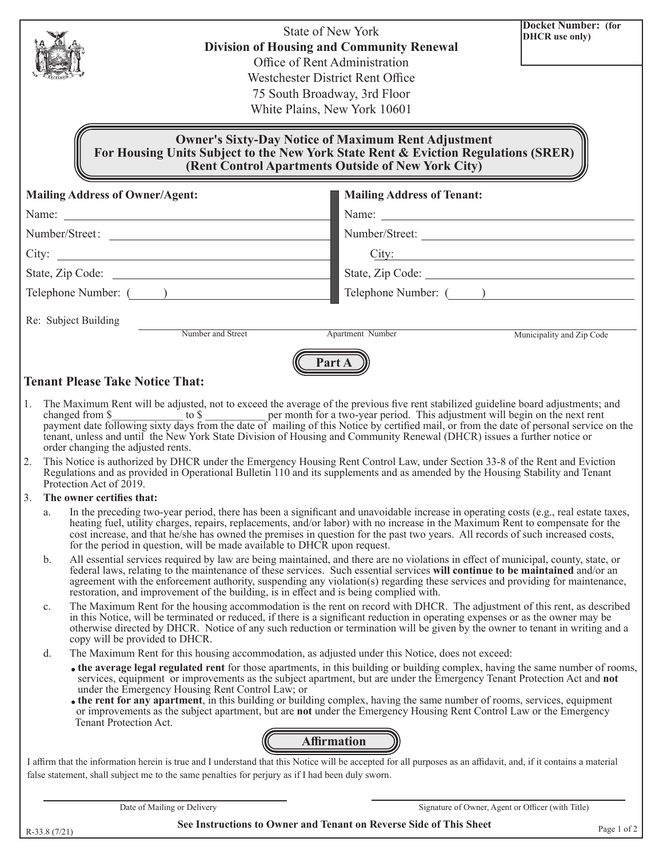|                |                                                                                                                                                                                                                                                                                                                                                                                                                                                                                                                                                                                                                                                                                                                                                                                                                                                                                                                                                                                                                                                                                                                                                                                                                                                                                                                                                                                                          |                                                                                                  | <b>State of New York</b><br><b>Division of Housing and Community Renewal</b><br>Office of Rent Administration<br>Westchester District Rent Office<br>75 South Broadway, 3rd Floor<br>White Plains, New York 10601 | <b>Docket Number:</b> (for<br>DHCR use only)      |  |  |
|----------------|----------------------------------------------------------------------------------------------------------------------------------------------------------------------------------------------------------------------------------------------------------------------------------------------------------------------------------------------------------------------------------------------------------------------------------------------------------------------------------------------------------------------------------------------------------------------------------------------------------------------------------------------------------------------------------------------------------------------------------------------------------------------------------------------------------------------------------------------------------------------------------------------------------------------------------------------------------------------------------------------------------------------------------------------------------------------------------------------------------------------------------------------------------------------------------------------------------------------------------------------------------------------------------------------------------------------------------------------------------------------------------------------------------|--------------------------------------------------------------------------------------------------|-------------------------------------------------------------------------------------------------------------------------------------------------------------------------------------------------------------------|---------------------------------------------------|--|--|
|                |                                                                                                                                                                                                                                                                                                                                                                                                                                                                                                                                                                                                                                                                                                                                                                                                                                                                                                                                                                                                                                                                                                                                                                                                                                                                                                                                                                                                          |                                                                                                  | <b>Owner's Sixty-Day Notice of Maximum Rent Adjustment</b><br>For Housing Units Subject to the New York State Rent & Eviction Regulations (SRER)<br>(Rent Control Apartments Outside of New York City)            |                                                   |  |  |
|                | <b>Mailing Address of Owner/Agent:</b>                                                                                                                                                                                                                                                                                                                                                                                                                                                                                                                                                                                                                                                                                                                                                                                                                                                                                                                                                                                                                                                                                                                                                                                                                                                                                                                                                                   |                                                                                                  |                                                                                                                                                                                                                   | <b>Mailing Address of Tenant:</b>                 |  |  |
|                |                                                                                                                                                                                                                                                                                                                                                                                                                                                                                                                                                                                                                                                                                                                                                                                                                                                                                                                                                                                                                                                                                                                                                                                                                                                                                                                                                                                                          |                                                                                                  |                                                                                                                                                                                                                   |                                                   |  |  |
|                |                                                                                                                                                                                                                                                                                                                                                                                                                                                                                                                                                                                                                                                                                                                                                                                                                                                                                                                                                                                                                                                                                                                                                                                                                                                                                                                                                                                                          | Number/Street:                                                                                   |                                                                                                                                                                                                                   | Number/Street:                                    |  |  |
|                |                                                                                                                                                                                                                                                                                                                                                                                                                                                                                                                                                                                                                                                                                                                                                                                                                                                                                                                                                                                                                                                                                                                                                                                                                                                                                                                                                                                                          |                                                                                                  |                                                                                                                                                                                                                   | City:                                             |  |  |
|                |                                                                                                                                                                                                                                                                                                                                                                                                                                                                                                                                                                                                                                                                                                                                                                                                                                                                                                                                                                                                                                                                                                                                                                                                                                                                                                                                                                                                          |                                                                                                  |                                                                                                                                                                                                                   | State, Zip Code:                                  |  |  |
|                |                                                                                                                                                                                                                                                                                                                                                                                                                                                                                                                                                                                                                                                                                                                                                                                                                                                                                                                                                                                                                                                                                                                                                                                                                                                                                                                                                                                                          | Telephone Number: ( )                                                                            |                                                                                                                                                                                                                   | Telephone Number: ( )                             |  |  |
|                | Re: Subject Building                                                                                                                                                                                                                                                                                                                                                                                                                                                                                                                                                                                                                                                                                                                                                                                                                                                                                                                                                                                                                                                                                                                                                                                                                                                                                                                                                                                     |                                                                                                  |                                                                                                                                                                                                                   |                                                   |  |  |
|                |                                                                                                                                                                                                                                                                                                                                                                                                                                                                                                                                                                                                                                                                                                                                                                                                                                                                                                                                                                                                                                                                                                                                                                                                                                                                                                                                                                                                          | Number and Street                                                                                | Apartment Number                                                                                                                                                                                                  | Municipality and Zip Code                         |  |  |
| 1.<br>2.       | <b>Tenant Please Take Notice That:</b><br>The Maximum Rent will be adjusted, not to exceed the average of the previous five rent stabilized guideline board adjustments; and<br>changed from \$ to \$ per month for a two-year period. This adjustment will begin on the next rent payment date following sixty days from the date of mailing of this Notice by certified mail, or from the date of personal ser<br>tenant, unless and until the New York State Division of Housing and Community Renewal (DHCR) issues a further notice or<br>order changing the adjusted rents.<br>This Notice is authorized by DHCR under the Emergency Housing Rent Control Law, under Section 33-8 of the Rent and Eviction<br>Regulations and as provided in Operational Bulletin 110 and its supplements and as amended by the Housing Stability and Tenant<br>Protection Act of 2019.<br>The owner certifies that:<br>In the preceding two-year period, there has been a significant and unavoidable increase in operating costs (e.g., real estate taxes,<br>a.<br>heating fuel, utility charges, repairs, replacements, and/or labor) with no increase in the Maximum Rent to compensate for the<br>cost increase, and that he/she has owned the premises in question for the past two years. All records of such increased costs,<br>for the period in question, will be made available to DHCR upon request. |                                                                                                  |                                                                                                                                                                                                                   |                                                   |  |  |
|                | All essential services required by law are being maintained, and there are no violations in effect of municipal, county, state, or<br>b.<br>federal laws, relating to the maintenance of these services. Such essential services will continue to be maintained and/or an<br>agreement with the enforcement authority, suspending any violation(s) regarding these services and providing for maintenance,<br>restoration, and improvement of the building, is in effect and is being complied with.                                                                                                                                                                                                                                                                                                                                                                                                                                                                                                                                                                                                                                                                                                                                                                                                                                                                                                     |                                                                                                  |                                                                                                                                                                                                                   |                                                   |  |  |
|                | The Maximum Rent for the housing accommodation is the rent on record with DHCR. The adjustment of this rent, as described<br>c.<br>in this Notice, will be terminated or reduced, if there is a significant reduction in operating expenses or as the owner may be<br>otherwise directed by DHCR. Notice of any such reduction or termination will be given by the owner to tenant in writing and a<br>copy will be provided to DHCR.                                                                                                                                                                                                                                                                                                                                                                                                                                                                                                                                                                                                                                                                                                                                                                                                                                                                                                                                                                    |                                                                                                  |                                                                                                                                                                                                                   |                                                   |  |  |
|                | The Maximum Rent for this housing accommodation, as adjusted under this Notice, does not exceed:<br>d.<br>• the average legal regulated rent for those apartments, in this building or building complex, having the same number of rooms,<br>services, equipment or improvements as the subject apartment, but are under the Emergency Tenant Protection Act and not<br>under the Emergency Housing Rent Control Law; or<br>• the rent for any apartment, in this building or building complex, having the same number of rooms, services, equipment<br>or improvements as the subject apartment, but are not under the Emergency Housing Rent Control Law or the Emergency<br>Tenant Protection Act.                                                                                                                                                                                                                                                                                                                                                                                                                                                                                                                                                                                                                                                                                                    |                                                                                                  |                                                                                                                                                                                                                   |                                                   |  |  |
|                |                                                                                                                                                                                                                                                                                                                                                                                                                                                                                                                                                                                                                                                                                                                                                                                                                                                                                                                                                                                                                                                                                                                                                                                                                                                                                                                                                                                                          |                                                                                                  | <b>Affirmation</b>                                                                                                                                                                                                |                                                   |  |  |
|                |                                                                                                                                                                                                                                                                                                                                                                                                                                                                                                                                                                                                                                                                                                                                                                                                                                                                                                                                                                                                                                                                                                                                                                                                                                                                                                                                                                                                          | false statement, shall subject me to the same penalties for perjury as if I had been duly sworn. | I affirm that the information herein is true and I understand that this Notice will be accepted for all purposes as an affidavit, and, if it contains a material                                                  |                                                   |  |  |
|                |                                                                                                                                                                                                                                                                                                                                                                                                                                                                                                                                                                                                                                                                                                                                                                                                                                                                                                                                                                                                                                                                                                                                                                                                                                                                                                                                                                                                          | Date of Mailing or Delivery                                                                      |                                                                                                                                                                                                                   | Signature of Owner, Agent or Officer (with Title) |  |  |
| $R-33.8(7/21)$ |                                                                                                                                                                                                                                                                                                                                                                                                                                                                                                                                                                                                                                                                                                                                                                                                                                                                                                                                                                                                                                                                                                                                                                                                                                                                                                                                                                                                          |                                                                                                  | See Instructions to Owner and Tenant on Reverse Side of This Sheet                                                                                                                                                | Page 1 of 2                                       |  |  |